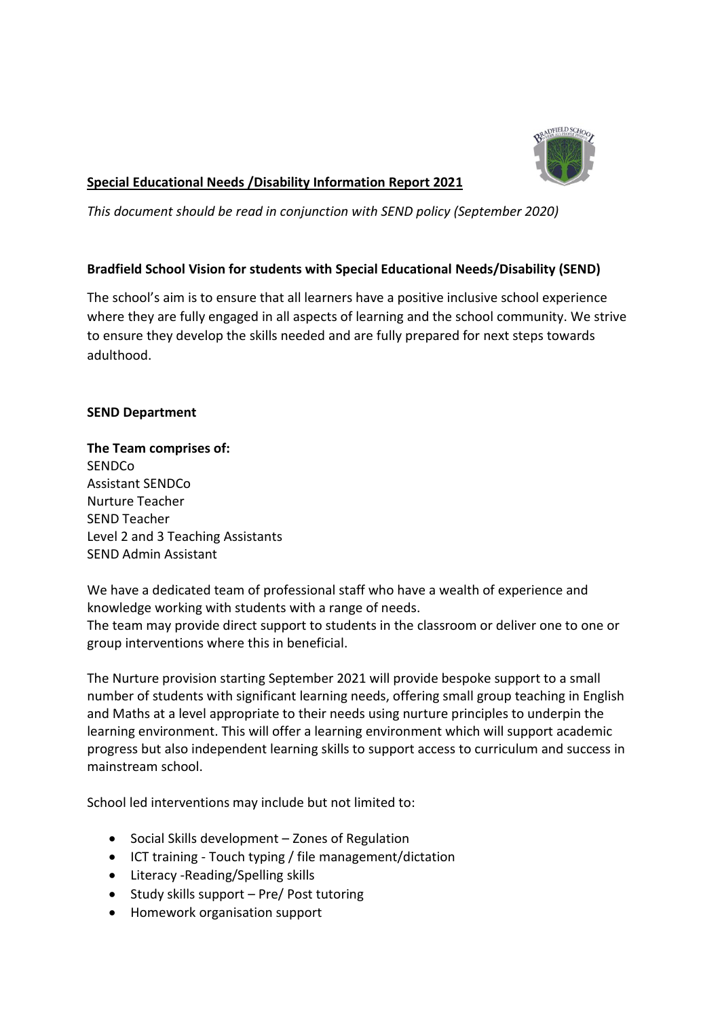

# **Special Educational Needs /Disability Information Report 2021**

*This document should be read in conjunction with SEND policy (September 2020)*

# **Bradfield School Vision for students with Special Educational Needs/Disability (SEND)**

The school's aim is to ensure that all learners have a positive inclusive school experience where they are fully engaged in all aspects of learning and the school community. We strive to ensure they develop the skills needed and are fully prepared for next steps towards adulthood.

# **SEND Department**

**The Team comprises of:**  SENDCo Assistant SENDCo Nurture Teacher SEND Teacher Level 2 and 3 Teaching Assistants SEND Admin Assistant

We have a dedicated team of professional staff who have a wealth of experience and knowledge working with students with a range of needs. The team may provide direct support to students in the classroom or deliver one to one or group interventions where this in beneficial.

The Nurture provision starting September 2021 will provide bespoke support to a small number of students with significant learning needs, offering small group teaching in English and Maths at a level appropriate to their needs using nurture principles to underpin the learning environment. This will offer a learning environment which will support academic progress but also independent learning skills to support access to curriculum and success in mainstream school.

School led interventions may include but not limited to:

- Social Skills development Zones of Regulation
- ICT training Touch typing / file management/dictation
- Literacy -Reading/Spelling skills
- Study skills support Pre/ Post tutoring
- Homework organisation support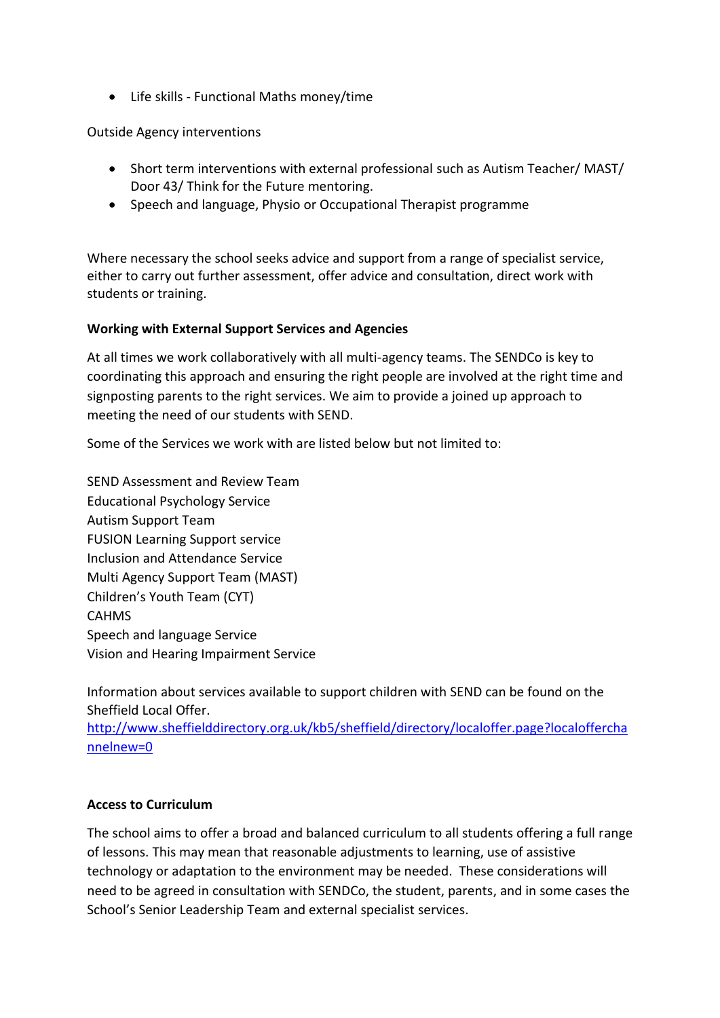• Life skills - Functional Maths money/time

Outside Agency interventions

- Short term interventions with external professional such as Autism Teacher/ MAST/ Door 43/ Think for the Future mentoring.
- Speech and language, Physio or Occupational Therapist programme

Where necessary the school seeks advice and support from a range of specialist service, either to carry out further assessment, offer advice and consultation, direct work with students or training.

# **Working with External Support Services and Agencies**

At all times we work collaboratively with all multi-agency teams. The SENDCo is key to coordinating this approach and ensuring the right people are involved at the right time and signposting parents to the right services. We aim to provide a joined up approach to meeting the need of our students with SEND.

Some of the Services we work with are listed below but not limited to:

SEND Assessment and Review Team Educational Psychology Service Autism Support Team FUSION Learning Support service Inclusion and Attendance Service Multi Agency Support Team (MAST) Children's Youth Team (CYT) CAHMS Speech and language Service Vision and Hearing Impairment Service

Information about services available to support children with SEND can be found on the Sheffield Local Offer.

[http://www.sheffielddirectory.org.uk/kb5/sheffield/directory/localoffer.page?localoffercha](http://www.sheffielddirectory.org.uk/kb5/sheffield/directory/localoffer.page?localofferchannelnew=0) [nnelnew=0](http://www.sheffielddirectory.org.uk/kb5/sheffield/directory/localoffer.page?localofferchannelnew=0)

# **Access to Curriculum**

The school aims to offer a broad and balanced curriculum to all students offering a full range of lessons. This may mean that reasonable adjustments to learning, use of assistive technology or adaptation to the environment may be needed. These considerations will need to be agreed in consultation with SENDCo, the student, parents, and in some cases the School's Senior Leadership Team and external specialist services.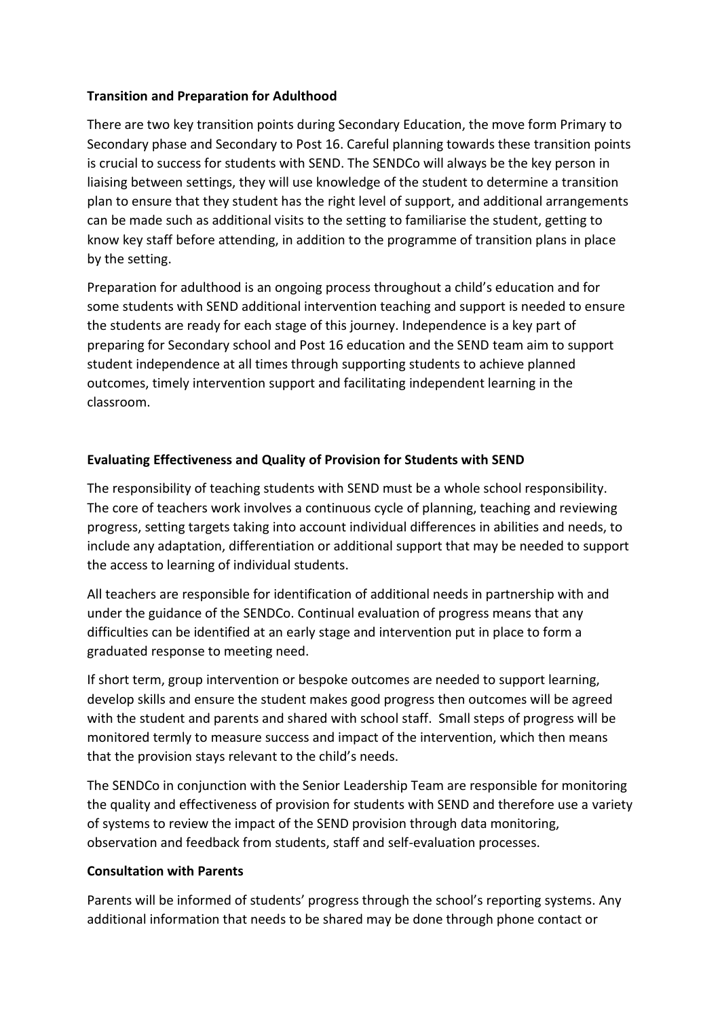# **Transition and Preparation for Adulthood**

There are two key transition points during Secondary Education, the move form Primary to Secondary phase and Secondary to Post 16. Careful planning towards these transition points is crucial to success for students with SEND. The SENDCo will always be the key person in liaising between settings, they will use knowledge of the student to determine a transition plan to ensure that they student has the right level of support, and additional arrangements can be made such as additional visits to the setting to familiarise the student, getting to know key staff before attending, in addition to the programme of transition plans in place by the setting.

Preparation for adulthood is an ongoing process throughout a child's education and for some students with SEND additional intervention teaching and support is needed to ensure the students are ready for each stage of this journey. Independence is a key part of preparing for Secondary school and Post 16 education and the SEND team aim to support student independence at all times through supporting students to achieve planned outcomes, timely intervention support and facilitating independent learning in the classroom.

# **Evaluating Effectiveness and Quality of Provision for Students with SEND**

The responsibility of teaching students with SEND must be a whole school responsibility. The core of teachers work involves a continuous cycle of planning, teaching and reviewing progress, setting targets taking into account individual differences in abilities and needs, to include any adaptation, differentiation or additional support that may be needed to support the access to learning of individual students.

All teachers are responsible for identification of additional needs in partnership with and under the guidance of the SENDCo. Continual evaluation of progress means that any difficulties can be identified at an early stage and intervention put in place to form a graduated response to meeting need.

If short term, group intervention or bespoke outcomes are needed to support learning, develop skills and ensure the student makes good progress then outcomes will be agreed with the student and parents and shared with school staff. Small steps of progress will be monitored termly to measure success and impact of the intervention, which then means that the provision stays relevant to the child's needs.

The SENDCo in conjunction with the Senior Leadership Team are responsible for monitoring the quality and effectiveness of provision for students with SEND and therefore use a variety of systems to review the impact of the SEND provision through data monitoring, observation and feedback from students, staff and self-evaluation processes.

# **Consultation with Parents**

Parents will be informed of students' progress through the school's reporting systems. Any additional information that needs to be shared may be done through phone contact or